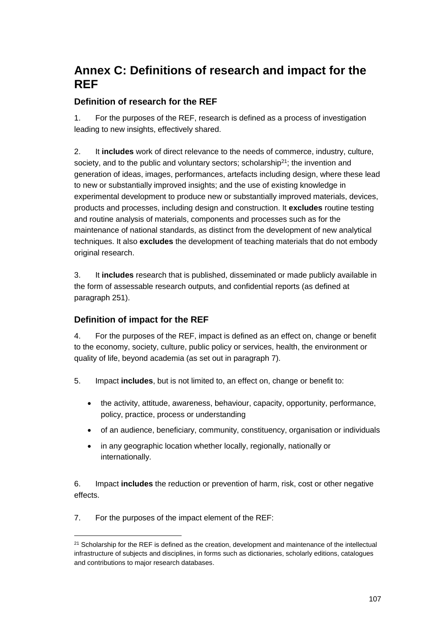## **Annex C: Definitions of research and impact for the REF**

## **Definition of research for the REF**

1. For the purposes of the REF, research is defined as a process of investigation leading to new insights, effectively shared.

2. It **includes** work of direct relevance to the needs of commerce, industry, culture, society, and to the public and voluntary sectors; scholarship<sup>21</sup>; the invention and generation of ideas, images, performances, artefacts including design, where these lead to new or substantially improved insights; and the use of existing knowledge in experimental development to produce new or substantially improved materials, devices, products and processes, including design and construction. It **excludes** routine testing and routine analysis of materials, components and processes such as for the maintenance of national standards, as distinct from the development of new analytical techniques. It also **excludes** the development of teaching materials that do not embody original research.

3. It **includes** research that is published, disseminated or made publicly available in the form of assessable research outputs, and confidential reports (as defined at paragraph 251).

## **Definition of impact for the REF**

4. For the purposes of the REF, impact is defined as an effect on, change or benefit to the economy, society, culture, public policy or services, health, the environment or quality of life, beyond academia (as set out in paragraph 7).

- 5. Impact **includes**, but is not limited to, an effect on, change or benefit to:
	- the activity, attitude, awareness, behaviour, capacity, opportunity, performance, policy, practice, process or understanding
	- of an audience, beneficiary, community, constituency, organisation or individuals
	- in any geographic location whether locally, regionally, nationally or internationally.

6. Impact **includes** the reduction or prevention of harm, risk, cost or other negative effects.

7. For the purposes of the impact element of the REF:

 $\overline{a}$ 

<sup>&</sup>lt;sup>21</sup> Scholarship for the REF is defined as the creation, development and maintenance of the intellectual infrastructure of subjects and disciplines, in forms such as dictionaries, scholarly editions, catalogues and contributions to major research databases.